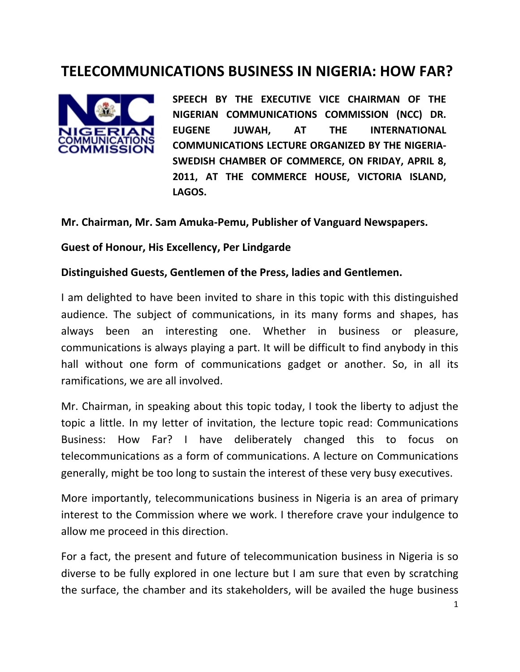# **TELECOMMUNICATIONS BUSINESS IN NIGERIA: HOW FAR?**



**SPEECH BY THE EXECUTIVE VICE CHAIRMAN OF THE NIGERIAN COMMUNICATIONS COMMISSION (NCC) DR. EUGENE JUWAH, AT THE INTERNATIONAL COMMUNICATIONS LECTURE ORGANIZED BY THE NIGERIA‐ SWEDISH CHAMBER OF COMMERCE, ON FRIDAY, APRIL 8, 2011, AT THE COMMERCE HOUSE, VICTORIA ISLAND, LAGOS.**

#### **Mr. Chairman, Mr. Sam Amuka‐Pemu, Publisher of Vanguard Newspapers.**

#### **Guest of Honour, His Excellency, Per Lindgarde**

#### **Distinguished Guests, Gentlemen of the Press, ladies and Gentlemen.**

I am delighted to have been invited to share in this topic with this distinguished audience. The subject of communications, in its many forms and shapes, has always been an interesting one. Whether in business or pleasure, communications is always playing a part. It will be difficult to find anybody in this hall without one form of communications gadget or another. So, in all its ramifications, we are all involved.

Mr. Chairman, in speaking about this topic today, I took the liberty to adjust the topic a little. In my letter of invitation, the lecture topic read: Communications Business: How Far? I have deliberately changed this to focus on telecommunications as a form of communications. A lecture on Communications generally, might be too long to sustain the interest of these very busy executives.

More importantly, telecommunications business in Nigeria is an area of primary interest to the Commission where we work. I therefore crave your indulgence to allow me proceed in this direction.

For a fact, the present and future of telecommunication business in Nigeria is so diverse to be fully explored in one lecture but I am sure that even by scratching the surface, the chamber and its stakeholders, will be availed the huge business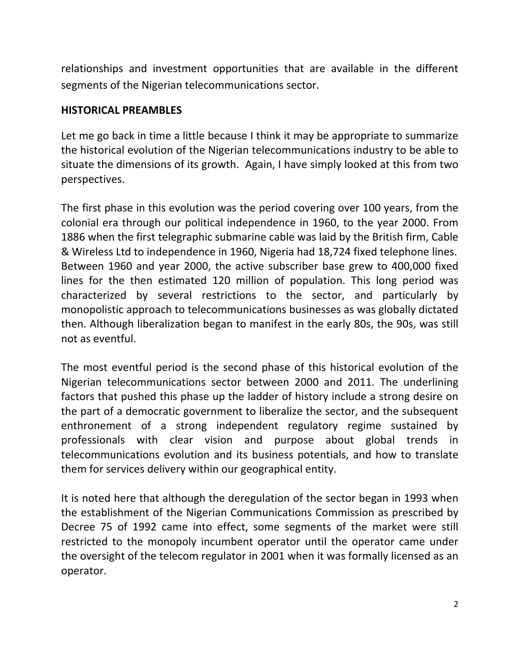relationships and investment opportunities that are available in the different segments of the Nigerian telecommunications sector.

#### **HISTORICAL PREAMBLES**

Let me go back in time a little because I think it may be appropriate to summarize the historical evolution of the Nigerian telecommunications industry to be able to situate the dimensions of its growth. Again, I have simply looked at this from two perspectives.

The first phase in this evolution was the period covering over 100 years, from the colonial era through our political independence in 1960, to the year 2000. From 1886 when the first telegraphic submarine cable was laid by the British firm, Cable & Wireless Ltd to independence in 1960, Nigeria had 18,724 fixed telephone lines. Between 1960 and year 2000, the active subscriber base grew to 400,000 fixed lines for the then estimated 120 million of population. This long period was characterized by several restrictions to the sector, and particularly by monopolistic approach to telecommunications businesses as was globally dictated then. Although liberalization began to manifest in the early 80s, the 90s, was still not as eventful.

The most eventful period is the second phase of this historical evolution of the Nigerian telecommunications sector between 2000 and 2011. The underlining factors that pushed this phase up the ladder of history include a strong desire on the part of a democratic government to liberalize the sector, and the subsequent enthronement of a strong independent regulatory regime sustained by professionals with clear vision and purpose about global trends in telecommunications evolution and its business potentials, and how to translate them for services delivery within our geographical entity.

It is noted here that although the deregulation of the sector began in 1993 when the establishment of the Nigerian Communications Commission as prescribed by Decree 75 of 1992 came into effect, some segments of the market were still restricted to the monopoly incumbent operator until the operator came under the oversight of the telecom regulator in 2001 when it was formally licensed as an operator.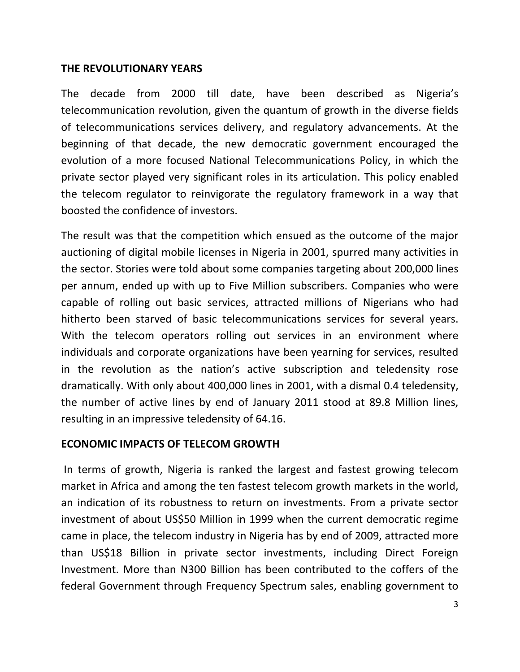#### **THE REVOLUTIONARY YEARS**

The decade from 2000 till date, have been described as Nigeria's telecommunication revolution, given the quantum of growth in the diverse fields of telecommunications services delivery, and regulatory advancements. At the beginning of that decade, the new democratic government encouraged the evolution of a more focused National Telecommunications Policy, in which the private sector played very significant roles in its articulation. This policy enabled the telecom regulator to reinvigorate the regulatory framework in a way that boosted the confidence of investors.

The result was that the competition which ensued as the outcome of the major auctioning of digital mobile licenses in Nigeria in 2001, spurred many activities in the sector. Stories were told about some companies targeting about 200,000 lines per annum, ended up with up to Five Million subscribers. Companies who were capable of rolling out basic services, attracted millions of Nigerians who had hitherto been starved of basic telecommunications services for several years. With the telecom operators rolling out services in an environment where individuals and corporate organizations have been yearning for services, resulted in the revolution as the nation's active subscription and teledensity rose dramatically. With only about 400,000 lines in 2001, with a dismal 0.4 teledensity, the number of active lines by end of January 2011 stood at 89.8 Million lines, resulting in an impressive teledensity of 64.16.

## **ECONOMIC IMPACTS OF TELECOM GROWTH**

In terms of growth, Nigeria is ranked the largest and fastest growing telecom market in Africa and among the ten fastest telecom growth markets in the world, an indication of its robustness to return on investments. From a private sector investment of about US\$50 Million in 1999 when the current democratic regime came in place, the telecom industry in Nigeria has by end of 2009, attracted more than US\$18 Billion in private sector investments, including Direct Foreign Investment. More than N300 Billion has been contributed to the coffers of the federal Government through Frequency Spectrum sales, enabling government to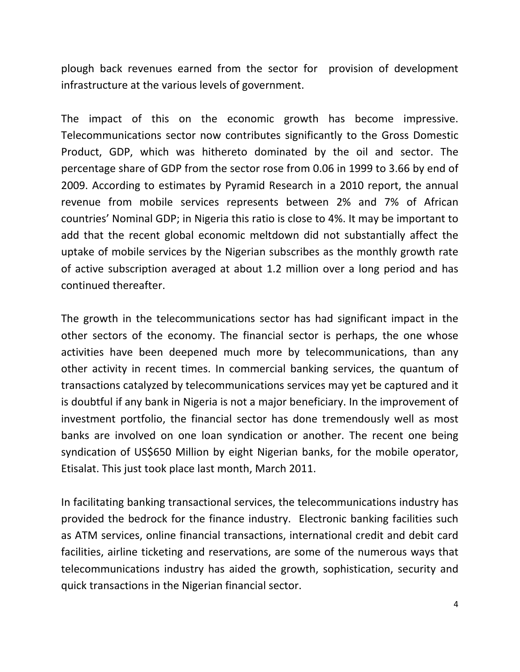plough back revenues earned from the sector for provision of development infrastructure at the various levels of government.

The impact of this on the economic growth has become impressive. Telecommunications sector now contributes significantly to the Gross Domestic Product, GDP, which was hithereto dominated by the oil and sector. The percentage share of GDP from the sector rose from 0.06 in 1999 to 3.66 by end of 2009. According to estimates by Pyramid Research in a 2010 report, the annual revenue from mobile services represents between 2% and 7% of African countries' Nominal GDP; in Nigeria this ratio is close to 4%. It may be important to add that the recent global economic meltdown did not substantially affect the uptake of mobile services by the Nigerian subscribes as the monthly growth rate of active subscription averaged at about 1.2 million over a long period and has continued thereafter.

The growth in the telecommunications sector has had significant impact in the other sectors of the economy. The financial sector is perhaps, the one whose activities have been deepened much more by telecommunications, than any other activity in recent times. In commercial banking services, the quantum of transactions catalyzed by telecommunications services may yet be captured and it is doubtful if any bank in Nigeria is not a major beneficiary. In the improvement of investment portfolio, the financial sector has done tremendously well as most banks are involved on one loan syndication or another. The recent one being syndication of US\$650 Million by eight Nigerian banks, for the mobile operator, Etisalat. This just took place last month, March 2011.

In facilitating banking transactional services, the telecommunications industry has provided the bedrock for the finance industry. Electronic banking facilities such as ATM services, online financial transactions, international credit and debit card facilities, airline ticketing and reservations, are some of the numerous ways that telecommunications industry has aided the growth, sophistication, security and quick transactions in the Nigerian financial sector.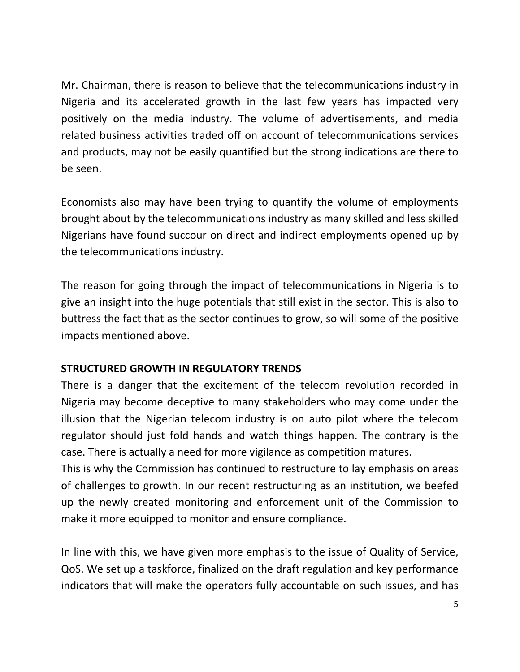Mr. Chairman, there is reason to believe that the telecommunications industry in Nigeria and its accelerated growth in the last few years has impacted very positively on the media industry. The volume of advertisements, and media related business activities traded off on account of telecommunications services and products, may not be easily quantified but the strong indications are there to be seen.

Economists also may have been trying to quantify the volume of employments brought about by the telecommunications industry as many skilled and less skilled Nigerians have found succour on direct and indirect employments opened up by the telecommunications industry.

The reason for going through the impact of telecommunications in Nigeria is to give an insight into the huge potentials that still exist in the sector. This is also to buttress the fact that as the sector continues to grow, so will some of the positive impacts mentioned above.

# **STRUCTURED GROWTH IN REGULATORY TRENDS**

There is a danger that the excitement of the telecom revolution recorded in Nigeria may become deceptive to many stakeholders who may come under the illusion that the Nigerian telecom industry is on auto pilot where the telecom regulator should just fold hands and watch things happen. The contrary is the case. There is actually a need for more vigilance as competition matures.

This is why the Commission has continued to restructure to lay emphasis on areas of challenges to growth. In our recent restructuring as an institution, we beefed up the newly created monitoring and enforcement unit of the Commission to make it more equipped to monitor and ensure compliance.

In line with this, we have given more emphasis to the issue of Quality of Service, QoS. We set up a taskforce, finalized on the draft regulation and key performance indicators that will make the operators fully accountable on such issues, and has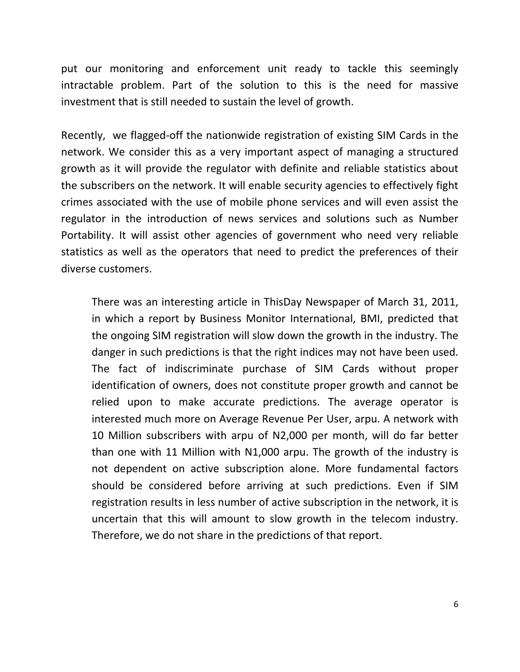put our monitoring and enforcement unit ready to tackle this seemingly intractable problem. Part of the solution to this is the need for massive investment that is still needed to sustain the level of growth.

Recently, we flagged‐off the nationwide registration of existing SIM Cards in the network. We consider this as a very important aspect of managing a structured growth as it will provide the regulator with definite and reliable statistics about the subscribers on the network. It will enable security agencies to effectively fight crimes associated with the use of mobile phone services and will even assist the regulator in the introduction of news services and solutions such as Number Portability. It will assist other agencies of government who need very reliable statistics as well as the operators that need to predict the preferences of their diverse customers.

There was an interesting article in ThisDay Newspaper of March 31, 2011, in which a report by Business Monitor International, BMI, predicted that the ongoing SIM registration will slow down the growth in the industry. The danger in such predictions is that the right indices may not have been used. The fact of indiscriminate purchase of SIM Cards without proper identification of owners, does not constitute proper growth and cannot be relied upon to make accurate predictions. The average operator is interested much more on Average Revenue Per User, arpu. A network with 10 Million subscribers with arpu of N2,000 per month, will do far better than one with 11 Million with N1,000 arpu. The growth of the industry is not dependent on active subscription alone. More fundamental factors should be considered before arriving at such predictions. Even if SIM registration results in less number of active subscription in the network, it is uncertain that this will amount to slow growth in the telecom industry. Therefore, we do not share in the predictions of that report.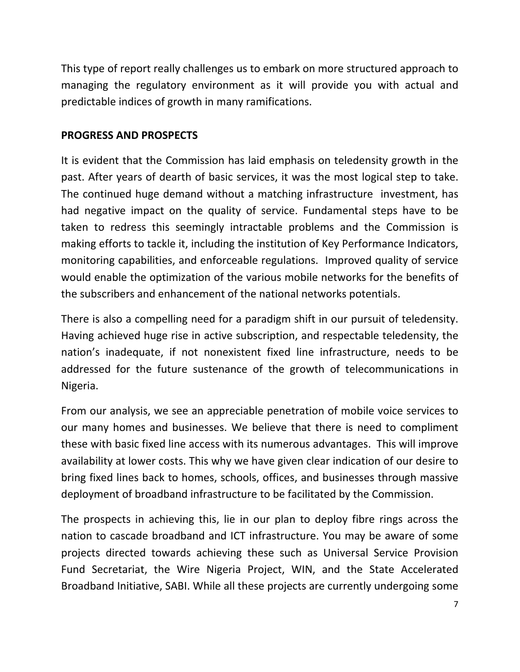This type of report really challenges us to embark on more structured approach to managing the regulatory environment as it will provide you with actual and predictable indices of growth in many ramifications.

# **PROGRESS AND PROSPECTS**

It is evident that the Commission has laid emphasis on teledensity growth in the past. After years of dearth of basic services, it was the most logical step to take. The continued huge demand without a matching infrastructure investment, has had negative impact on the quality of service. Fundamental steps have to be taken to redress this seemingly intractable problems and the Commission is making efforts to tackle it, including the institution of Key Performance Indicators, monitoring capabilities, and enforceable regulations. Improved quality of service would enable the optimization of the various mobile networks for the benefits of the subscribers and enhancement of the national networks potentials.

There is also a compelling need for a paradigm shift in our pursuit of teledensity. Having achieved huge rise in active subscription, and respectable teledensity, the nation's inadequate, if not nonexistent fixed line infrastructure, needs to be addressed for the future sustenance of the growth of telecommunications in Nigeria.

From our analysis, we see an appreciable penetration of mobile voice services to our many homes and businesses. We believe that there is need to compliment these with basic fixed line access with its numerous advantages. This will improve availability at lower costs. This why we have given clear indication of our desire to bring fixed lines back to homes, schools, offices, and businesses through massive deployment of broadband infrastructure to be facilitated by the Commission.

The prospects in achieving this, lie in our plan to deploy fibre rings across the nation to cascade broadband and ICT infrastructure. You may be aware of some projects directed towards achieving these such as Universal Service Provision Fund Secretariat, the Wire Nigeria Project, WIN, and the State Accelerated Broadband Initiative, SABI. While all these projects are currently undergoing some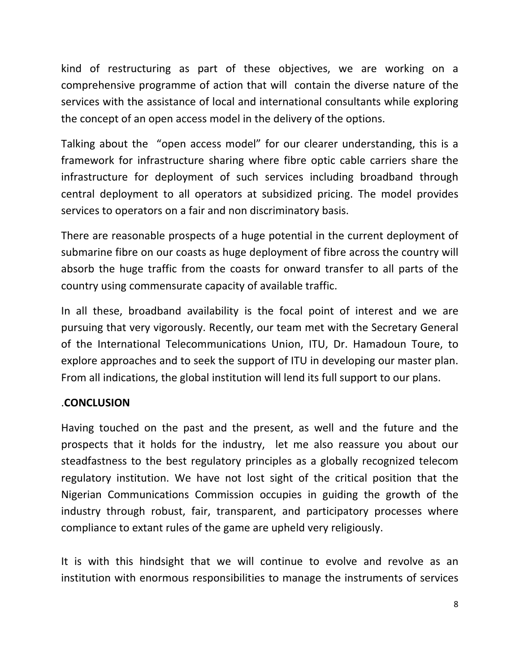kind of restructuring as part of these objectives, we are working on a comprehensive programme of action that will contain the diverse nature of the services with the assistance of local and international consultants while exploring the concept of an open access model in the delivery of the options.

Talking about the "open access model" for our clearer understanding, this is a framework for infrastructure sharing where fibre optic cable carriers share the infrastructure for deployment of such services including broadband through central deployment to all operators at subsidized pricing. The model provides services to operators on a fair and non discriminatory basis.

There are reasonable prospects of a huge potential in the current deployment of submarine fibre on our coasts as huge deployment of fibre across the country will absorb the huge traffic from the coasts for onward transfer to all parts of the country using commensurate capacity of available traffic.

In all these, broadband availability is the focal point of interest and we are pursuing that very vigorously. Recently, our team met with the Secretary General of the International Telecommunications Union, ITU, Dr. Hamadoun Toure, to explore approaches and to seek the support of ITU in developing our master plan. From all indications, the global institution will lend its full support to our plans.

## .**CONCLUSION**

Having touched on the past and the present, as well and the future and the prospects that it holds for the industry, let me also reassure you about our steadfastness to the best regulatory principles as a globally recognized telecom regulatory institution. We have not lost sight of the critical position that the Nigerian Communications Commission occupies in guiding the growth of the industry through robust, fair, transparent, and participatory processes where compliance to extant rules of the game are upheld very religiously.

It is with this hindsight that we will continue to evolve and revolve as an institution with enormous responsibilities to manage the instruments of services